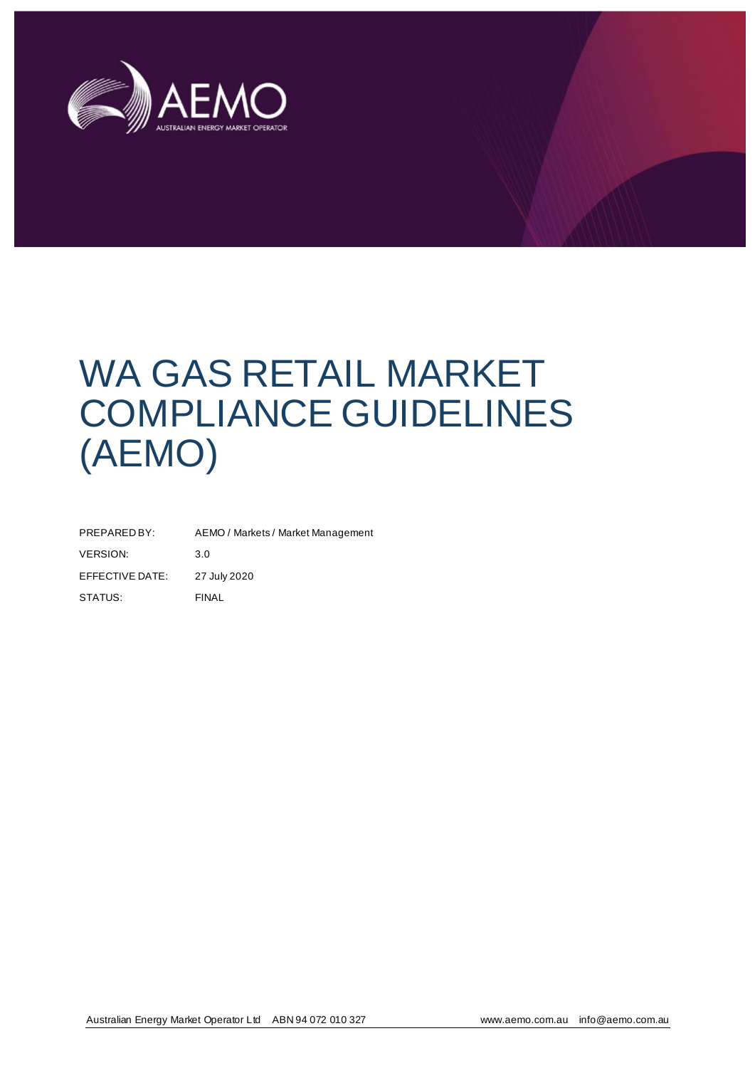

# WA GAS RETAIL MARKET COMPLIANCE GUIDELINES (AEMO)

| PREPARED BY:    | AEMO / Markets / Market Management |
|-----------------|------------------------------------|
| <b>VERSION:</b> | 3.0                                |
| EFFECTIVE DATE: | 27 July 2020                       |
| STATUS:         | <b>FINAL</b>                       |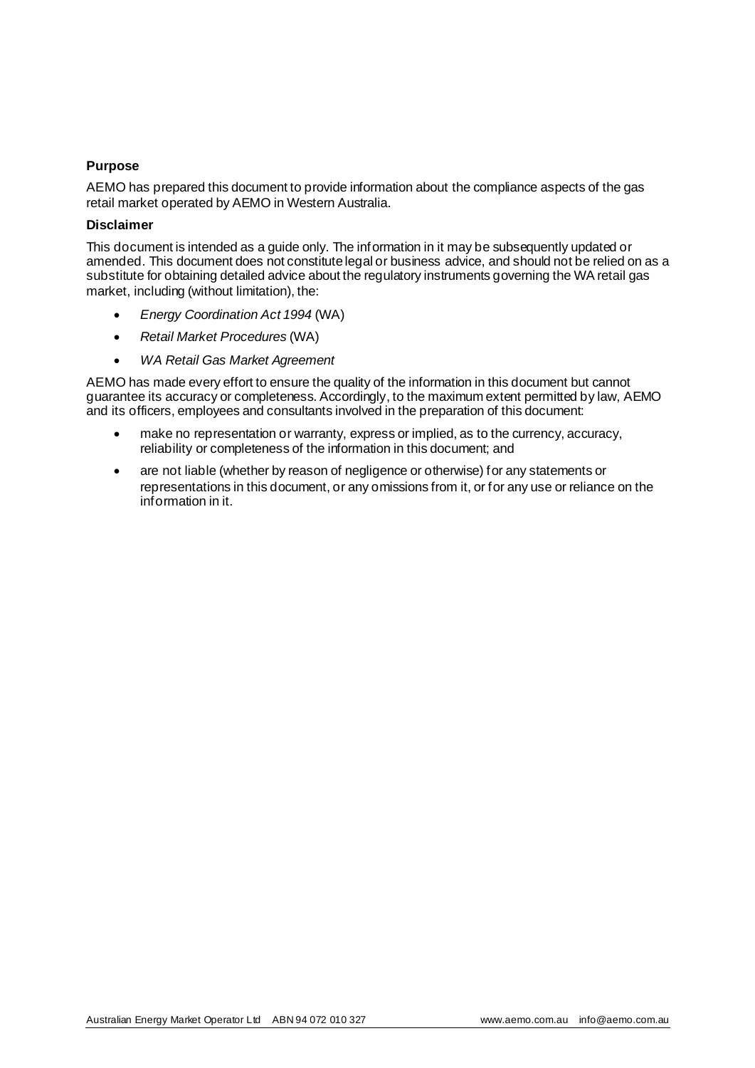#### **Purpose**

AEMO has prepared this document to provide information about the compliance aspects of the gas retail market operated by AEMO in Western Australia.

#### **Disclaimer**

This document is intended as a guide only. The information in it may be subsequently updated or amended. This document does not constitute legal or business advice, and should not be relied on as a substitute for obtaining detailed advice about the regulatory instruments governing the WA retail gas market, including (without limitation), the:

- *Energy Coordination Act 1994* (WA)
- *Retail Market Procedures* (WA)
- *WA Retail Gas Market Agreement*

AEMO has made every effort to ensure the quality of the information in this document but cannot guarantee its accuracy or completeness. Accordingly, to the maximum extent permitted by law, AEMO and its officers, employees and consultants involved in the preparation of this document:

- make no representation or warranty, express or implied, as to the currency, accuracy, reliability or completeness of the information in this document; and
- are not liable (whether by reason of negligence or otherwise) for any statements or representations in this document, or any omissions from it, or for any use or reliance on the information in it.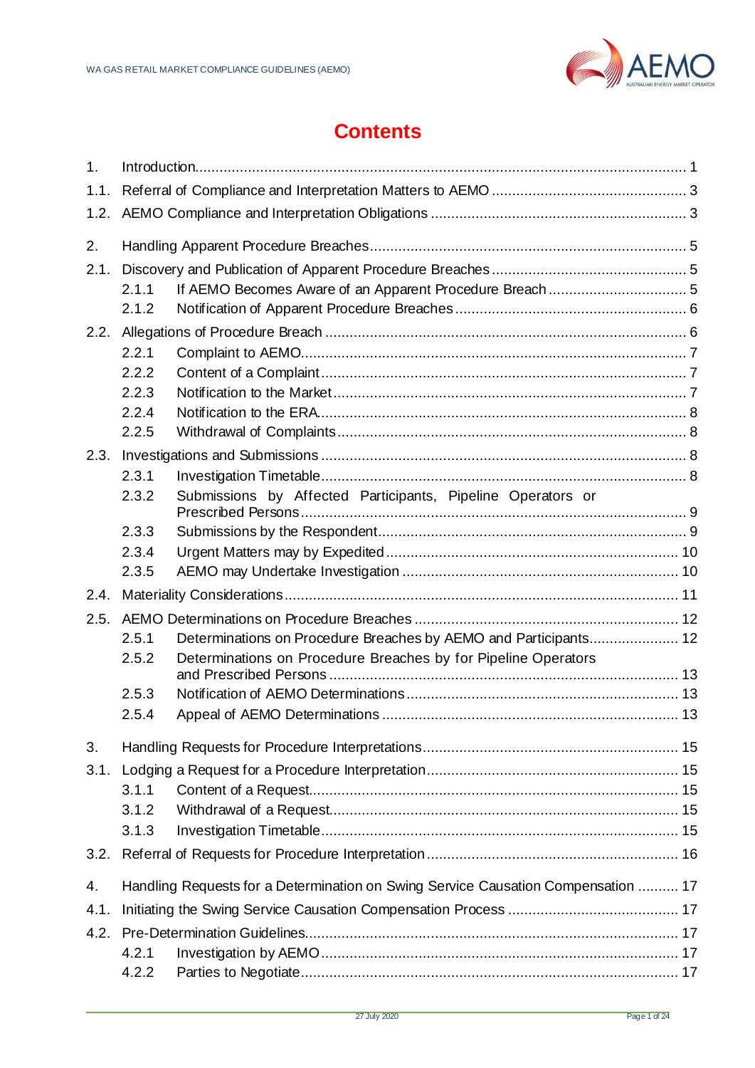

# **Contents**

<span id="page-2-0"></span>

| 1.    |                |                                                                                   |  |
|-------|----------------|-----------------------------------------------------------------------------------|--|
| 1.1.  |                |                                                                                   |  |
| 1.2.  |                |                                                                                   |  |
| 2.    |                |                                                                                   |  |
| 2.1.  |                |                                                                                   |  |
|       | 2.1.1          |                                                                                   |  |
|       | 2.1.2          |                                                                                   |  |
| 2.2.  |                |                                                                                   |  |
|       | 2.2.1          |                                                                                   |  |
|       | 2.2.2          |                                                                                   |  |
|       | 2.2.3          |                                                                                   |  |
|       | 2.2.4<br>2.2.5 |                                                                                   |  |
| 2.3.  |                |                                                                                   |  |
|       | 2.3.1          |                                                                                   |  |
|       | 2.3.2          | Submissions by Affected Participants, Pipeline Operators or                       |  |
|       |                |                                                                                   |  |
|       | 2.3.3          |                                                                                   |  |
|       | 2.3.4          |                                                                                   |  |
|       | 2.3.5          |                                                                                   |  |
| 2.4.  |                |                                                                                   |  |
| 2.5.  |                |                                                                                   |  |
| 2.5.1 |                | Determinations on Procedure Breaches by AEMO and Participants 12                  |  |
|       | 2.5.2          | Determinations on Procedure Breaches by for Pipeline Operators                    |  |
|       | 2.5.3          |                                                                                   |  |
|       | 2.5.4          |                                                                                   |  |
| 3.    |                |                                                                                   |  |
| 3.1.  |                |                                                                                   |  |
|       | 3.1.1          |                                                                                   |  |
|       | 3.1.2          |                                                                                   |  |
|       | 3.1.3          |                                                                                   |  |
| 3.2.  |                |                                                                                   |  |
| 4.    |                | Handling Requests for a Determination on Swing Service Causation Compensation  17 |  |
| 4.1.  |                |                                                                                   |  |
| 4.2.  |                |                                                                                   |  |
|       |                |                                                                                   |  |
|       | 4.2.2          |                                                                                   |  |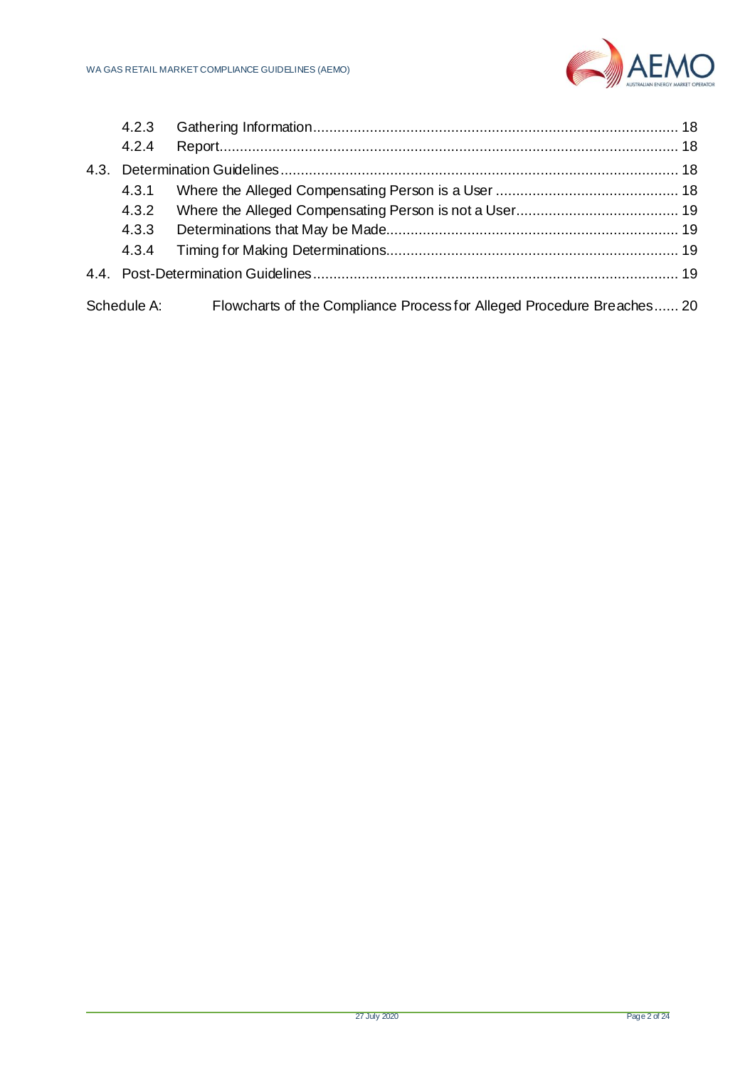

| 4.2.3       |                                                                        |  |
|-------------|------------------------------------------------------------------------|--|
| 4.2.4       |                                                                        |  |
|             |                                                                        |  |
| 4.3.1       |                                                                        |  |
| 4.3.2       |                                                                        |  |
| 4.3.3       |                                                                        |  |
| 4.3.4       |                                                                        |  |
|             |                                                                        |  |
| Schedule A: | Flowcharts of the Compliance Process for Alleged Procedure Breaches 20 |  |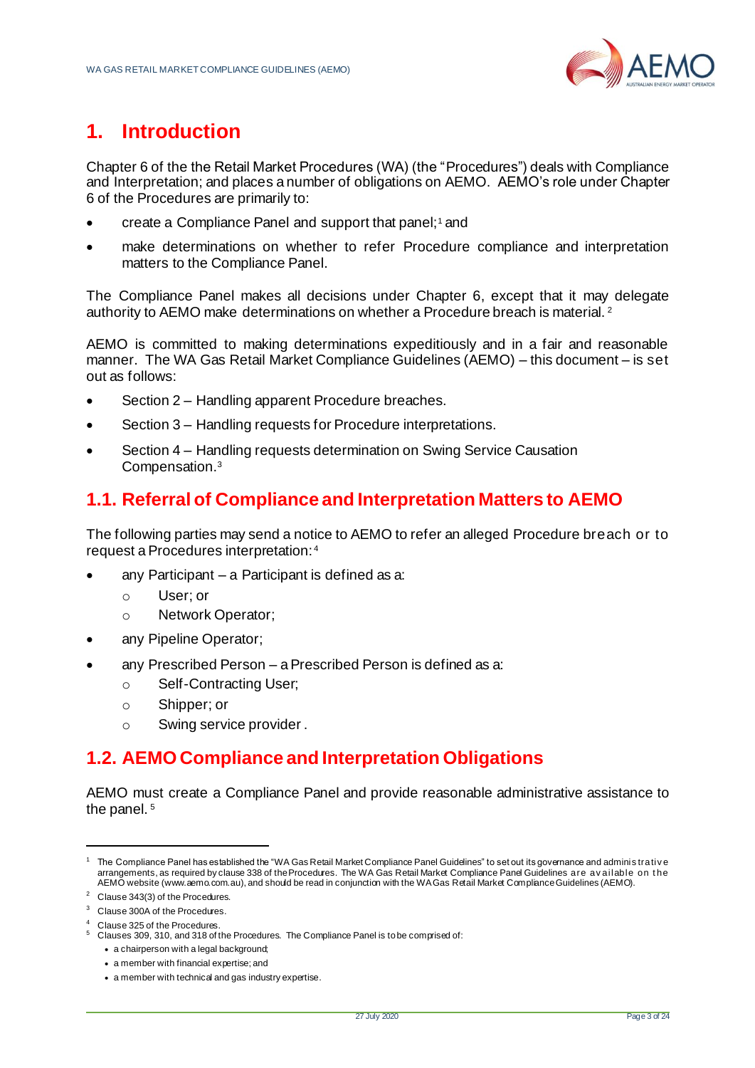

# **1. Introduction**

Chapter 6 of the the Retail Market Procedures (WA) (the "Procedures") deals with Compliance and Interpretation; and places a number of obligations on AEMO. AEMO's role under Chapter 6 of the Procedures are primarily to:

- create a Compliance Panel and support that panel;<sup>1</sup> and
- make determinations on whether to refer Procedure compliance and interpretation matters to the Compliance Panel.

The Compliance Panel makes all decisions under Chapter 6, except that it may delegate authority to AEMO make determinations on whether a Procedure breach is material.<sup>2</sup>

AEMO is committed to making determinations expeditiously and in a fair and reasonable manner. The WA Gas Retail Market Compliance Guidelines (AEMO) – this document – is set out as follows:

- Section 2 Handling apparent Procedure breaches.
- Section 3 Handling requests for Procedure interpretations.
- Section 4 Handling requests determination on Swing Service Causation Compensation.<sup>3</sup>

# <span id="page-4-0"></span>**1.1. Referral of Compliance and Interpretation Matters to AEMO**

The following parties may send a notice to AEMO to refer an alleged Procedure breach or to request a Procedures interpretation: <sup>4</sup>

- any Participant a Participant is defined as a:
	- o User; or
	- o Network Operator;
- any Pipeline Operator;
- any Prescribed Person a Prescribed Person is defined as a:
	- o Self-Contracting User;
	- o Shipper; or
	- o Swing service provider .

# <span id="page-4-1"></span>**1.2. AEMO Compliance and Interpretation Obligations**

AEMO must create a Compliance Panel and provide reasonable administrative assistance to the panel.<sup>5</sup>

<sup>1</sup> The Compliance Panel has established the "WA Gas Retail Market Compliance Panel Guidelines" to set out its governance and adminis trativ e arrangements, as required by clause 338 of the Procedures. The WA Gas Retail Market Compliance Panel Guidelines are av ailable on t he AEMO websit[e \(www.aemo.com.au](http://www.aemo.com.au/)), and should be read in conjunction with the WA Gas Retail Market Compliance Guidelines (AEMO).

<sup>2</sup> Clause 343(3) of the Procedures.

<sup>&</sup>lt;sup>3</sup> Clause 300A of the Procedures.

Clause 325 of the Procedures

<sup>5</sup> Clauses 309, 310, and 318 of the Procedures. The Compliance Panel is to be comprised of:

<sup>•</sup> a chairperson with a legal background;

<sup>•</sup> a member with financial expertise; and

<sup>•</sup> a member with technical and gas industry expertise.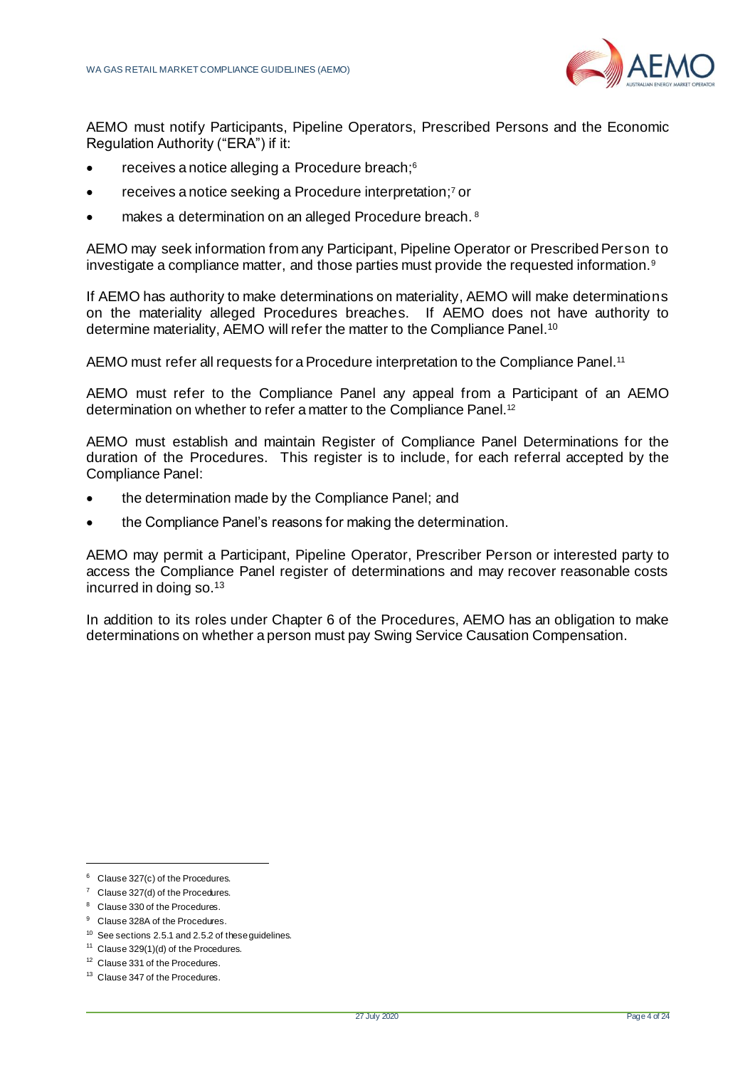

AEMO must notify Participants, Pipeline Operators, Prescribed Persons and the Economic Regulation Authority ("ERA") if it:

- receives a notice alleging a Procedure breach;<sup>6</sup>
- receives a notice seeking a Procedure interpretation; <sup>7</sup> or
- makes a determination on an alleged Procedure breach.<sup>8</sup>

AEMO may seek information from any Participant, Pipeline Operator or Prescribed Person to investigate a compliance matter, and those parties must provide the requested information.<sup>9</sup>

If AEMO has authority to make determinations on materiality, AEMO will make determinations on the materiality alleged Procedures breaches. If AEMO does not have authority to determine materiality, AEMO will refer the matter to the Compliance Panel.<sup>10</sup>

AEMO must refer all requests for a Procedure interpretation to the Compliance Panel.<sup>11</sup>

AEMO must refer to the Compliance Panel any appeal from a Participant of an AEMO determination on whether to refer a matter to the Compliance Panel.<sup>12</sup>

AEMO must establish and maintain Register of Compliance Panel Determinations for the duration of the Procedures. This register is to include, for each referral accepted by the Compliance Panel:

- the determination made by the Compliance Panel; and
- the Compliance Panel's reasons for making the determination.

AEMO may permit a Participant, Pipeline Operator, Prescriber Person or interested party to access the Compliance Panel register of determinations and may recover reasonable costs incurred in doing so.<sup>13</sup>

In addition to its roles under Chapter 6 of the Procedures, AEMO has an obligation to make determinations on whether a person must pay Swing Service Causation Compensation.

<sup>&</sup>lt;sup>6</sup> Clause 327(c) of the Procedures.

 $7$  Clause 327(d) of the Procedures.

<sup>8</sup> Clause 330 of the Procedures.

<sup>&</sup>lt;sup>9</sup> Clause 328A of the Procedures.

<sup>&</sup>lt;sup>10</sup> See section[s 2.5.1](#page-13-1) an[d 2.5.2](#page-14-0) of these guidelines.

<sup>11</sup> Clause 329(1)(d) of the Procedures.

<sup>&</sup>lt;sup>12</sup> Clause 331 of the Procedures.

<sup>&</sup>lt;sup>13</sup> Clause 347 of the Procedures.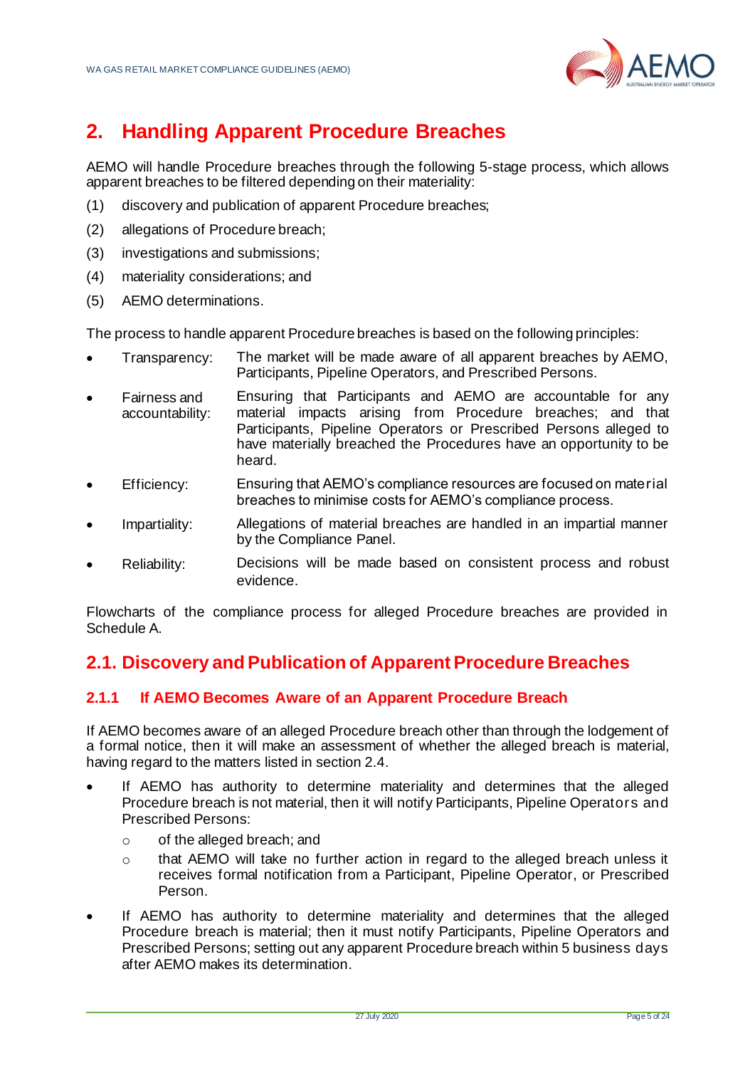

# <span id="page-6-0"></span>**2. Handling Apparent Procedure Breaches**

AEMO will handle Procedure breaches through the following 5-stage process, which allows apparent breaches to be filtered depending on their materiality:

- (1) discovery and publication of apparent Procedure breaches;
- (2) allegations of Procedure breach;
- (3) investigations and submissions;
- (4) materiality considerations; and
- (5) AEMO determinations.

The process to handle apparent Procedure breaches is based on the following principles:

- Transparency: The market will be made aware of all apparent breaches by AEMO, Participants, Pipeline Operators, and Prescribed Persons.
- Fairness and accountability: Ensuring that Participants and AEMO are accountable for any material impacts arising from Procedure breaches; and that Participants, Pipeline Operators or Prescribed Persons alleged to have materially breached the Procedures have an opportunity to be heard.
- Efficiency: Ensuring that AEMO's compliance resources are focused on material breaches to minimise costs for AEMO's compliance process.
- Impartiality: Allegations of material breaches are handled in an impartial manner by the Compliance Panel.
- Reliability: Decisions will be made based on consistent process and robust evidence.

Flowcharts of the compliance process for alleged Procedure breaches are provided in Schedule A.

# <span id="page-6-1"></span>**2.1. Discovery and Publication of Apparent Procedure Breaches**

#### <span id="page-6-2"></span>**2.1.1 If AEMO Becomes Aware of an Apparent Procedure Breach**

If AEMO becomes aware of an alleged Procedure breach other than through the lodgement of a formal notice, then it will make an assessment of whether the alleged breach is material, having regard to the matters listed in section [2.4.](#page-12-0)

- If AEMO has authority to determine materiality and determines that the alleged Procedure breach is not material, then it will notify Participants, Pipeline Operators and Prescribed Persons:
	- o of the alleged breach; and
	- o that AEMO will take no further action in regard to the alleged breach unless it receives formal notification from a Participant, Pipeline Operator, or Prescribed Person.
- If AEMO has authority to determine materiality and determines that the alleged Procedure breach is material; then it must notify Participants, Pipeline Operators and Prescribed Persons; setting out any apparent Procedure breach within 5 business days after AEMO makes its determination.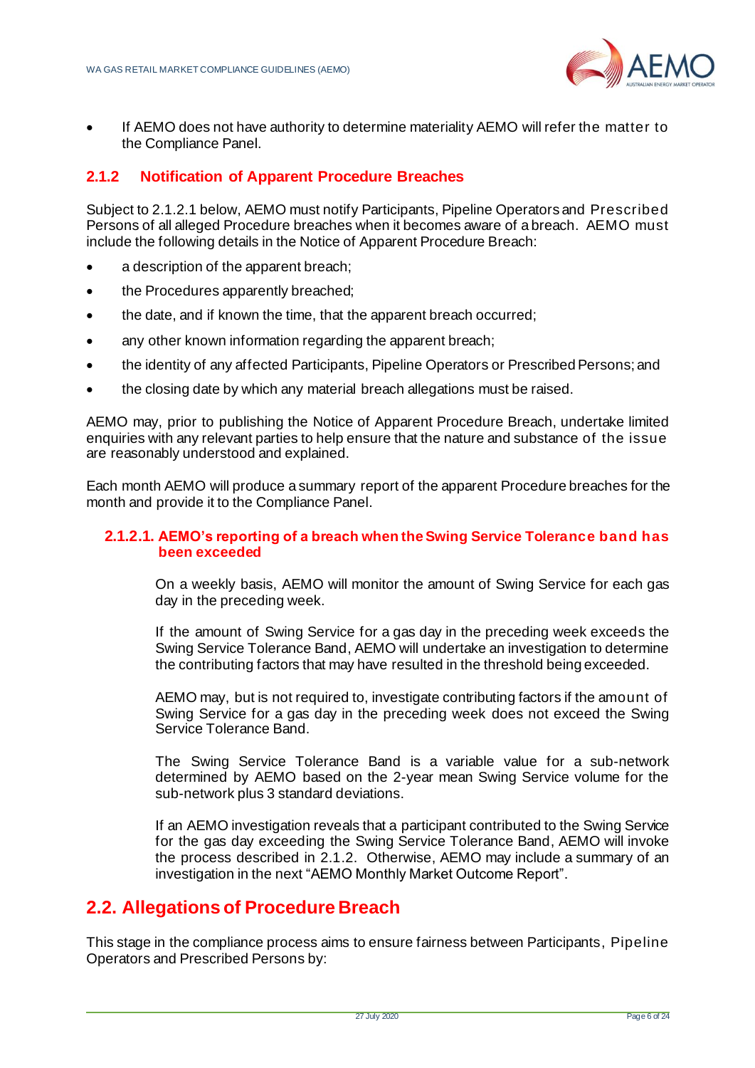

• If AEMO does not have authority to determine materiality AEMO will refer the matter to the Compliance Panel.

### <span id="page-7-0"></span>**2.1.2 Notification of Apparent Procedure Breaches**

Subject to 2.1.2.1 below, AEMO must notify Participants, Pipeline Operators and Prescribed Persons of all alleged Procedure breaches when it becomes aware of a breach. AEMO must include the following details in the Notice of Apparent Procedure Breach:

- a description of the apparent breach;
- the Procedures apparently breached;
- the date, and if known the time, that the apparent breach occurred;
- any other known information regarding the apparent breach;
- the identity of any affected Participants, Pipeline Operators or Prescribed Persons; and
- the closing date by which any material breach allegations must be raised.

AEMO may, prior to publishing the Notice of Apparent Procedure Breach, undertake limited enquiries with any relevant parties to help ensure that the nature and substance of the issue are reasonably understood and explained.

Each month AEMO will produce a summary report of the apparent Procedure breaches for the month and provide it to the Compliance Panel.

#### **2.1.2.1. AEMO's reporting of a breach when the Swing Service Tolerance band has been exceeded**

On a weekly basis, AEMO will monitor the amount of Swing Service for each gas day in the preceding week.

If the amount of Swing Service for a gas day in the preceding week exceeds the Swing Service Tolerance Band, AEMO will undertake an investigation to determine the contributing factors that may have resulted in the threshold being exceeded.

AEMO may, but is not required to, investigate contributing factors if the amount of Swing Service for a gas day in the preceding week does not exceed the Swing Service Tolerance Band.

The Swing Service Tolerance Band is a variable value for a sub-network determined by AEMO based on the 2-year mean Swing Service volume for the sub-network plus 3 standard deviations.

If an AEMO investigation reveals that a participant contributed to the Swing Service for the gas day exceeding the Swing Service Tolerance Band, AEMO will invoke the process described in 2.1.2. Otherwise, AEMO may include a summary of an investigation in the next "AEMO Monthly Market Outcome Report".

# <span id="page-7-1"></span>**2.2. Allegations of Procedure Breach**

This stage in the compliance process aims to ensure fairness between Participants, Pipeline Operators and Prescribed Persons by: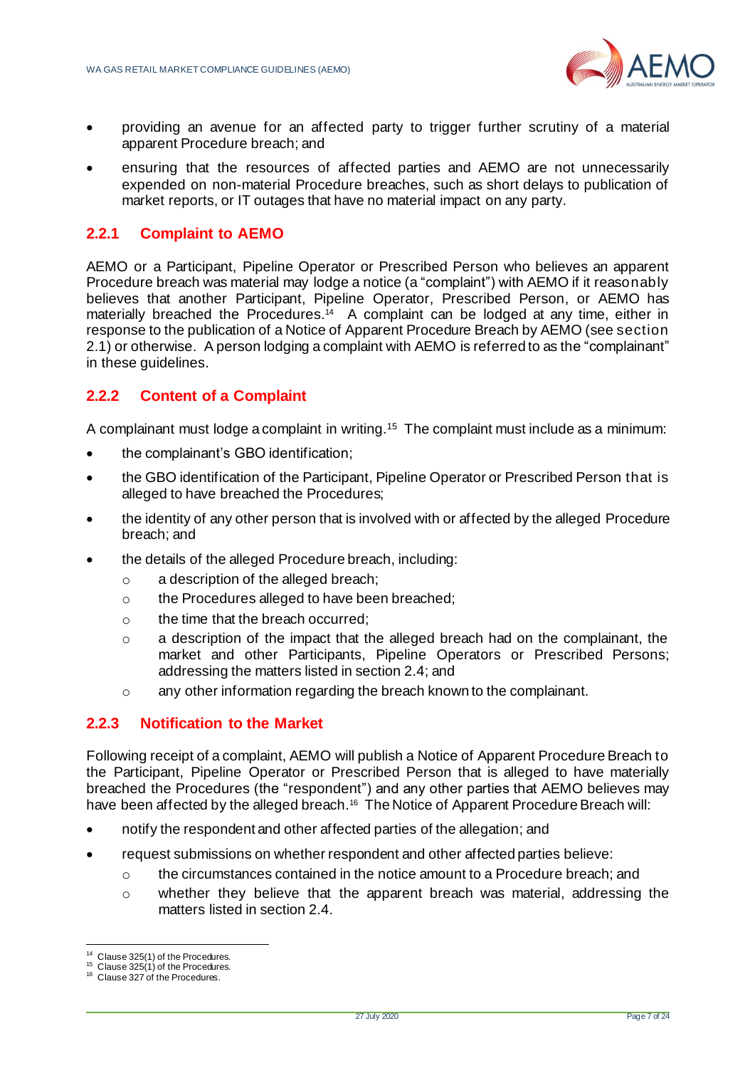

- providing an avenue for an affected party to trigger further scrutiny of a material apparent Procedure breach; and
- ensuring that the resources of affected parties and AEMO are not unnecessarily expended on non-material Procedure breaches, such as short delays to publication of market reports, or IT outages that have no material impact on any party.

### <span id="page-8-0"></span>**2.2.1 Complaint to AEMO**

AEMO or a Participant, Pipeline Operator or Prescribed Person who believes an apparent Procedure breach was material may lodge a notice (a "complaint") with AEMO if it reasonably believes that another Participant, Pipeline Operator, Prescribed Person, or AEMO has materially breached the Procedures.<sup>14</sup> A complaint can be lodged at any time, either in response to the publication of a Notice of Apparent Procedure Breach by AEMO (see section 2.1) or otherwise. A person lodging a complaint with AEMO is referred to as the "complainant" in these guidelines.

### <span id="page-8-1"></span>**2.2.2 Content of a Complaint**

A complainant must lodge a complaint in writing.<sup>15</sup> The complaint must include as a minimum:

- the complainant's GBO identification;
- the GBO identification of the Participant, Pipeline Operator or Prescribed Person that is alleged to have breached the Procedures;
- the identity of any other person that is involved with or affected by the alleged Procedure breach; and
- the details of the alleged Procedure breach, including:
	- o a description of the alleged breach;
	- o the Procedures alleged to have been breached;
	- o the time that the breach occurred;
	- o a description of the impact that the alleged breach had on the complainant, the market and other Participants, Pipeline Operators or Prescribed Persons; addressing the matters listed in sectio[n 2.4;](#page-12-0) and
	- o any other information regarding the breach known to the complainant.

#### <span id="page-8-2"></span>**2.2.3 Notification to the Market**

Following receipt of a complaint, AEMO will publish a Notice of Apparent Procedure Breach to the Participant, Pipeline Operator or Prescribed Person that is alleged to have materially breached the Procedures (the "respondent") and any other parties that AEMO believes may have been affected by the alleged breach. 16 The Notice of Apparent Procedure Breach will:

- notify the respondent and other affected parties of the allegation; and
- request submissions on whether respondent and other affected parties believe:
	- $\circ$  the circumstances contained in the notice amount to a Procedure breach; and
	- o whether they believe that the apparent breach was material, addressing the matters listed in section [2.4.](#page-12-0)

<sup>&</sup>lt;sup>14</sup> Clause 325(1) of the Procedures.

 $15$  Clause 325(1) of the Procedures.

<sup>&</sup>lt;sup>16</sup> Clause 327 of the Procedures.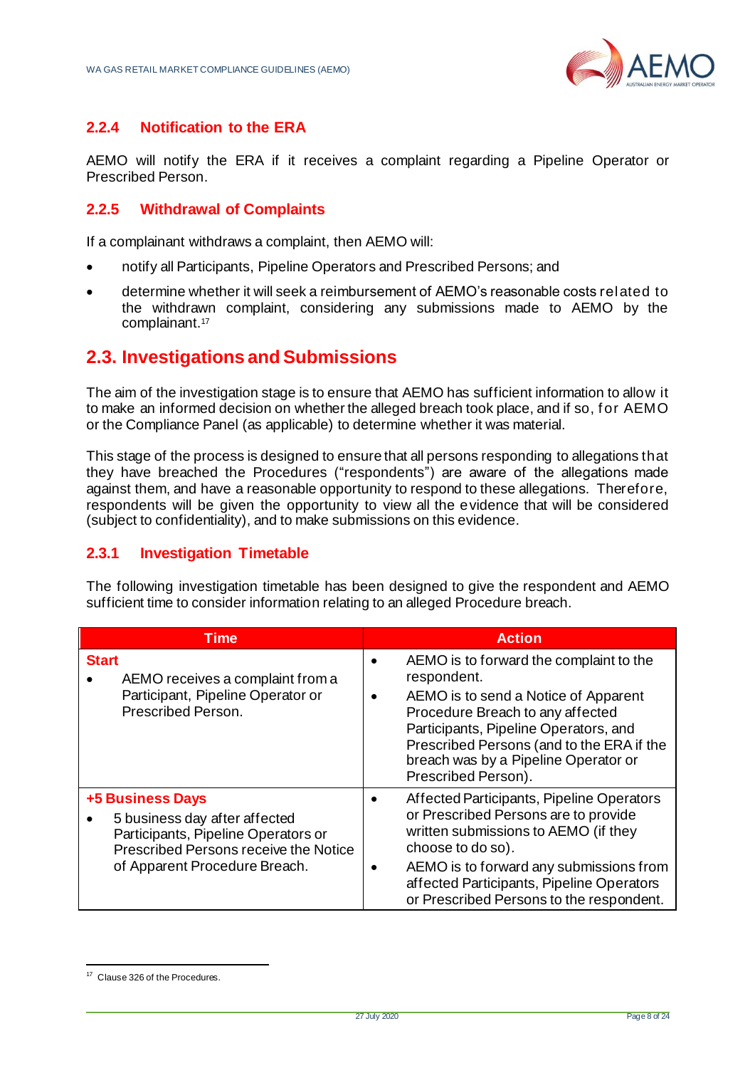

### <span id="page-9-0"></span>**2.2.4 Notification to the ERA**

AEMO will notify the ERA if it receives a complaint regarding a Pipeline Operator or Prescribed Person.

### <span id="page-9-1"></span>**2.2.5 Withdrawal of Complaints**

If a complainant withdraws a complaint, then AEMO will:

- notify all Participants, Pipeline Operators and Prescribed Persons; and
- determine whether it will seek a reimbursement of AEMO's reasonable costs related to the withdrawn complaint, considering any submissions made to AEMO by the complainant. 17

# <span id="page-9-2"></span>**2.3. Investigations and Submissions**

The aim of the investigation stage is to ensure that AEMO has sufficient information to allow it to make an informed decision on whether the alleged breach took place, and if so, f or AEMO or the Compliance Panel (as applicable) to determine whether it was material.

This stage of the process is designed to ensure that all persons responding to allegations that they have breached the Procedures ("respondents") are aware of the allegations made against them, and have a reasonable opportunity to respond to these allegations. Therefore, respondents will be given the opportunity to view all the evidence that will be considered (subject to confidentiality), and to make submissions on this evidence.

#### <span id="page-9-3"></span>**2.3.1 Investigation Timetable**

The following investigation timetable has been designed to give the respondent and AEMO sufficient time to consider information relating to an alleged Procedure breach.

| Time                                                                                                                                                                      | <b>Action</b>                                                                                                                                                                                                                                                                           |
|---------------------------------------------------------------------------------------------------------------------------------------------------------------------------|-----------------------------------------------------------------------------------------------------------------------------------------------------------------------------------------------------------------------------------------------------------------------------------------|
| <b>Start</b><br>AEMO receives a complaint from a<br>Participant, Pipeline Operator or<br>Prescribed Person.                                                               | AEMO is to forward the complaint to the<br>respondent.<br>AEMO is to send a Notice of Apparent<br>Procedure Breach to any affected<br>Participants, Pipeline Operators, and<br>Prescribed Persons (and to the ERA if the<br>breach was by a Pipeline Operator or<br>Prescribed Person). |
| <b>+5 Business Days</b><br>5 business day after affected<br>Participants, Pipeline Operators or<br>Prescribed Persons receive the Notice<br>of Apparent Procedure Breach. | Affected Participants, Pipeline Operators<br>or Prescribed Persons are to provide<br>written submissions to AEMO (if they<br>choose to do so).<br>AEMO is to forward any submissions from<br>affected Participants, Pipeline Operators<br>or Prescribed Persons to the respondent.      |

<sup>&</sup>lt;sup>17</sup> Clause 326 of the Procedures.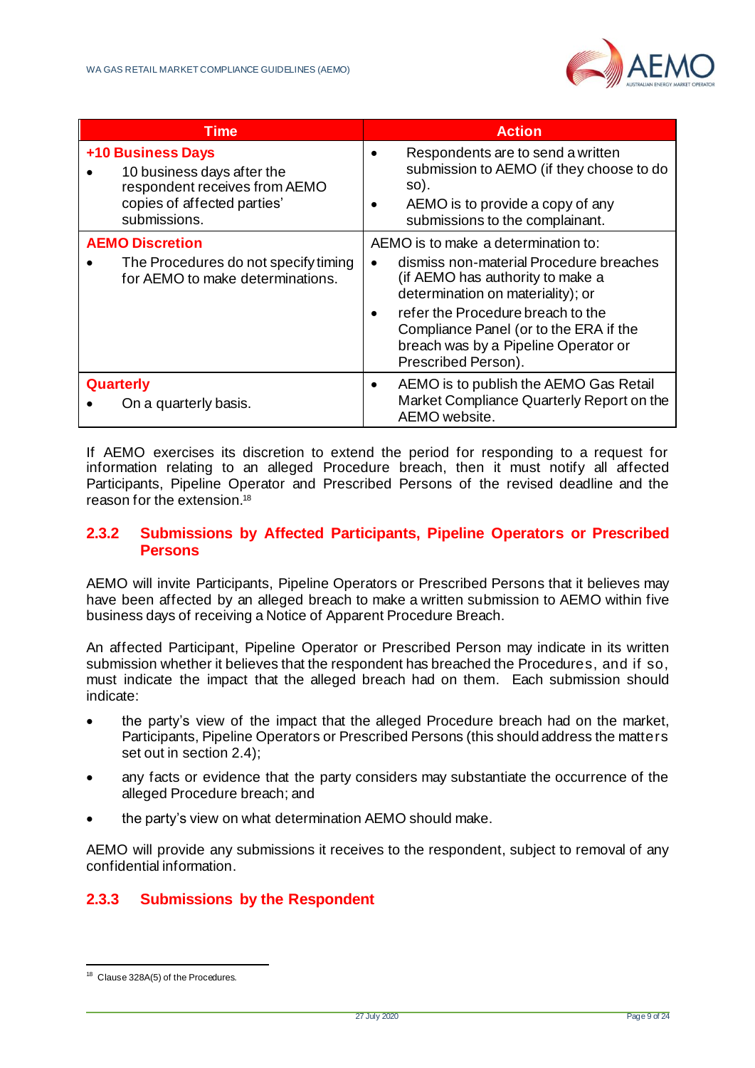

| <b>Time</b>                                                                                                                     | <b>Action</b>                                                                                                                                                |
|---------------------------------------------------------------------------------------------------------------------------------|--------------------------------------------------------------------------------------------------------------------------------------------------------------|
| +10 Business Days<br>10 business days after the<br>respondent receives from AEMO<br>copies of affected parties'<br>submissions. | Respondents are to send a written<br>submission to AEMO (if they choose to do<br>so).<br>AEMO is to provide a copy of any<br>submissions to the complainant. |
| <b>AEMO Discretion</b>                                                                                                          | AEMO is to make a determination to:                                                                                                                          |
| The Procedures do not specify timing<br>for AEMO to make determinations.                                                        | dismiss non-material Procedure breaches<br>(if AEMO has authority to make a<br>determination on materiality); or                                             |
|                                                                                                                                 | refer the Procedure breach to the<br>Compliance Panel (or to the ERA if the<br>breach was by a Pipeline Operator or<br>Prescribed Person).                   |
| <b>Quarterly</b><br>On a quarterly basis.                                                                                       | AEMO is to publish the AEMO Gas Retail<br>Market Compliance Quarterly Report on the<br>AEMO website.                                                         |

If AEMO exercises its discretion to extend the period for responding to a request for information relating to an alleged Procedure breach, then it must notify all affected Participants, Pipeline Operator and Prescribed Persons of the revised deadline and the reason for the extension.<sup>18</sup>

#### <span id="page-10-0"></span>**2.3.2 Submissions by Affected Participants, Pipeline Operators or Prescribed Persons**

AEMO will invite Participants, Pipeline Operators or Prescribed Persons that it believes may have been affected by an alleged breach to make a written submission to AEMO within five business days of receiving a Notice of Apparent Procedure Breach.

An affected Participant, Pipeline Operator or Prescribed Person may indicate in its written submission whether it believes that the respondent has breached the Procedures, and if so, must indicate the impact that the alleged breach had on them. Each submission should indicate:

- the party's view of the impact that the alleged Procedure breach had on the market, Participants, Pipeline Operators or Prescribed Persons (this should address the matters set out in section [2.4\)](#page-12-0);
- any facts or evidence that the party considers may substantiate the occurrence of the alleged Procedure breach; and
- the party's view on what determination AEMO should make.

AEMO will provide any submissions it receives to the respondent, subject to removal of any confidential information.

### <span id="page-10-1"></span>**2.3.3 Submissions by the Respondent**

<sup>&</sup>lt;sup>18</sup> Clause 328A(5) of the Procedures.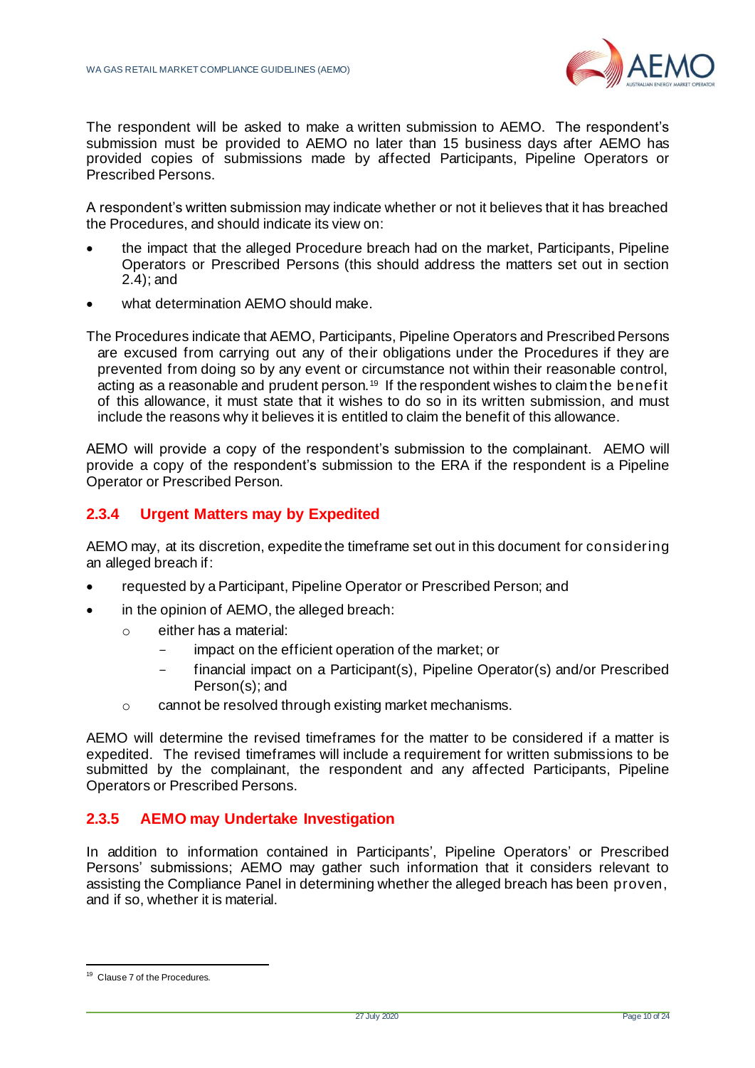

The respondent will be asked to make a written submission to AEMO. The respondent's submission must be provided to AEMO no later than 15 business days after AEMO has provided copies of submissions made by affected Participants, Pipeline Operators or Prescribed Persons.

A respondent's written submission may indicate whether or not it believes that it has breached the Procedures, and should indicate its view on:

- the impact that the alleged Procedure breach had on the market, Participants, Pipeline Operators or Prescribed Persons (this should address the matters set out in section [2.4\)](#page-12-0); and
- what determination AEMO should make.

The Procedures indicate that AEMO, Participants, Pipeline Operators and Prescribed Persons are excused from carrying out any of their obligations under the Procedures if they are prevented from doing so by any event or circumstance not within their reasonable control, acting as a reasonable and prudent person.<sup>19</sup> If the respondent wishes to claim the benefit of this allowance, it must state that it wishes to do so in its written submission, and must include the reasons why it believes it is entitled to claim the benefit of this allowance.

AEMO will provide a copy of the respondent's submission to the complainant. AEMO will provide a copy of the respondent's submission to the ERA if the respondent is a Pipeline Operator or Prescribed Person.

#### <span id="page-11-0"></span>**2.3.4 Urgent Matters may by Expedited**

AEMO may, at its discretion, expedite the timeframe set out in this document for considering an alleged breach if:

- requested by a Participant, Pipeline Operator or Prescribed Person; and
- in the opinion of AEMO, the alleged breach:
	- o either has a material:
		- impact on the efficient operation of the market; or
		- financial impact on a Participant(s), Pipeline Operator(s) and/or Prescribed Person(s); and
	- o cannot be resolved through existing market mechanisms.

AEMO will determine the revised timeframes for the matter to be considered if a matter is expedited. The revised timeframes will include a requirement for written submissions to be submitted by the complainant, the respondent and any affected Participants, Pipeline Operators or Prescribed Persons.

#### <span id="page-11-1"></span>**2.3.5 AEMO may Undertake Investigation**

In addition to information contained in Participants', Pipeline Operators' or Prescribed Persons' submissions; AEMO may gather such information that it considers relevant to assisting the Compliance Panel in determining whether the alleged breach has been proven, and if so, whether it is material.

<sup>&</sup>lt;sup>19</sup> Clause 7 of the Procedures.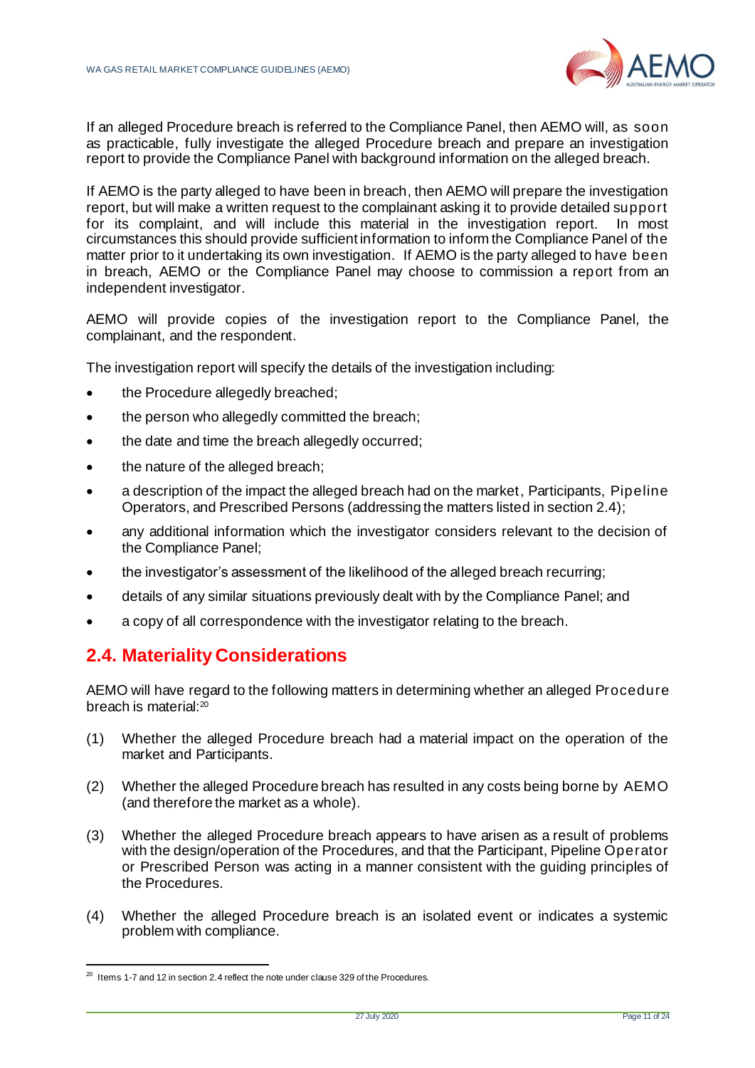

If an alleged Procedure breach is referred to the Compliance Panel, then AEMO will, as soon as practicable, fully investigate the alleged Procedure breach and prepare an investigation report to provide the Compliance Panel with background information on the alleged breach.

If AEMO is the party alleged to have been in breach, then AEMO will prepare the investigation report, but will make a written request to the complainant asking it to provide detailed support for its complaint, and will include this material in the investigation report. In most circumstances this should provide sufficient information to inform the Compliance Panel of the matter prior to it undertaking its own investigation. If AEMO is the party alleged to have been in breach, AEMO or the Compliance Panel may choose to commission a report from an independent investigator.

AEMO will provide copies of the investigation report to the Compliance Panel, the complainant, and the respondent.

The investigation report will specify the details of the investigation including:

- the Procedure allegedly breached;
- the person who allegedly committed the breach:
- the date and time the breach allegedly occurred;
- the nature of the alleged breach;
- a description of the impact the alleged breach had on the market, Participants, Pipeline Operators, and Prescribed Persons (addressing the matters listed in sectio[n 2.4](#page-12-0));
- any additional information which the investigator considers relevant to the decision of the Compliance Panel;
- the investigator's assessment of the likelihood of the alleged breach recurring;
- details of any similar situations previously dealt with by the Compliance Panel; and
- a copy of all correspondence with the investigator relating to the breach.

# <span id="page-12-0"></span>**2.4. Materiality Considerations**

AEMO will have regard to the following matters in determining whether an alleged Procedure breach is material: $20$ 

- (1) Whether the alleged Procedure breach had a material impact on the operation of the market and Participants.
- (2) Whether the alleged Procedure breach has resulted in any costs being borne by AEMO (and therefore the market as a whole).
- (3) Whether the alleged Procedure breach appears to have arisen as a result of problems with the design/operation of the Procedures, and that the Participant, Pipeline Operator or Prescribed Person was acting in a manner consistent with the guiding principles of the Procedures.
- (4) Whether the alleged Procedure breach is an isolated event or indicates a systemic problem with compliance.

 $20$  Items 1-7 and 12 in sectio[n 2.4](#page-12-0) reflect the note under clause 329 of the Procedures.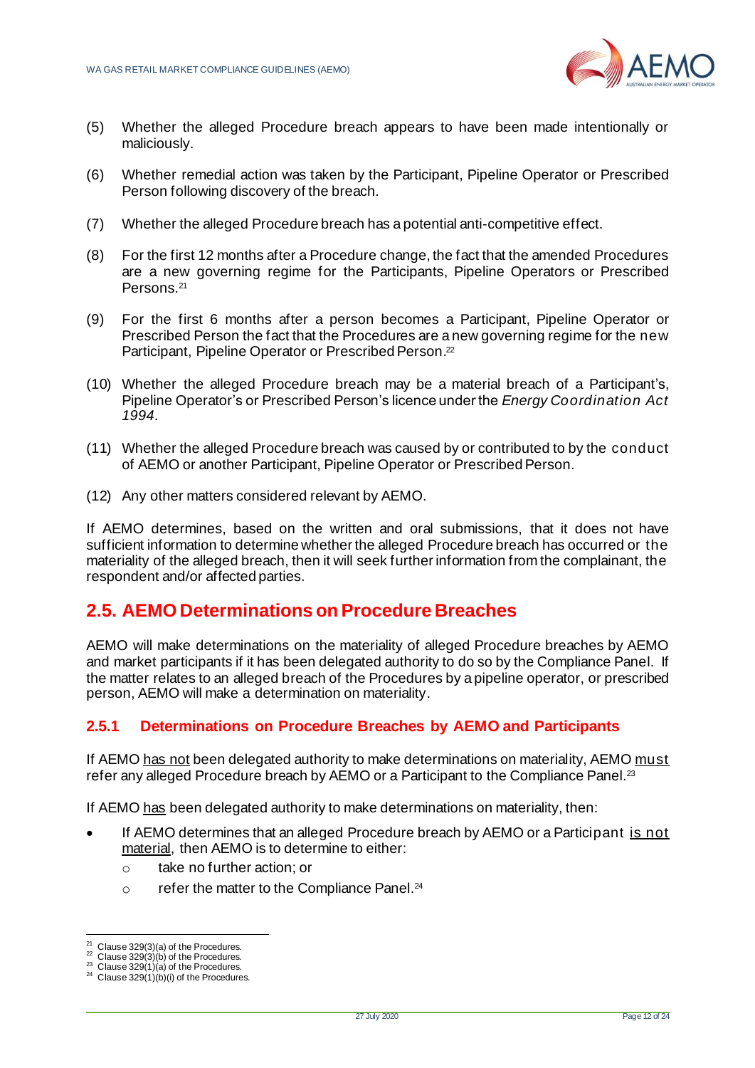

- (5) Whether the alleged Procedure breach appears to have been made intentionally or maliciously.
- (6) Whether remedial action was taken by the Participant, Pipeline Operator or Prescribed Person following discovery of the breach.
- (7) Whether the alleged Procedure breach has a potential anti-competitive effect.
- (8) For the first 12 months after a Procedure change, the fact that the amended Procedures are a new governing regime for the Participants, Pipeline Operators or Prescribed Persons.<sup>21</sup>
- (9) For the first 6 months after a person becomes a Participant, Pipeline Operator or Prescribed Person the fact that the Procedures are a new governing regime for the new Participant, Pipeline Operator or Prescribed Person. 22
- (10) Whether the alleged Procedure breach may be a material breach of a Participant's, Pipeline Operator's or Prescribed Person's licence under the *Energy Coordination Act 1994*.
- (11) Whether the alleged Procedure breach was caused by or contributed to by the conduct of AEMO or another Participant, Pipeline Operator or Prescribed Person.
- (12) Any other matters considered relevant by AEMO.

If AEMO determines, based on the written and oral submissions, that it does not have sufficient information to determine whether the alleged Procedure breach has occurred or the materiality of the alleged breach, then it will seek further information from the complainant, the respondent and/or affected parties.

# <span id="page-13-0"></span>**2.5. AEMO Determinations on Procedure Breaches**

AEMO will make determinations on the materiality of alleged Procedure breaches by AEMO and market participants if it has been delegated authority to do so by the Compliance Panel. If the matter relates to an alleged breach of the Procedures by a pipeline operator, or prescribed person, AEMO will make a determination on materiality.

#### <span id="page-13-1"></span>**2.5.1 Determinations on Procedure Breaches by AEMO and Participants**

If AEMO has not been delegated authority to make determinations on materiality, AEMO must refer any alleged Procedure breach by AEMO or a Participant to the Compliance Panel.<sup>23</sup>

If AEMO has been delegated authority to make determinations on materiality, then:

- If AEMO determines that an alleged Procedure breach by AEMO or a Participant is not material, then AEMO is to determine to either:
	- o take no further action; or
	- o refer the matter to the Compliance Panel.<sup>24</sup>

 $21$  Clause 329(3)(a) of the Procedures.

Clause  $329(3)(b)$  of the Procedures.

Clause  $329(1)(a)$  of the Procedures.

 $24$  Clause 329(1)(b)(i) of the Procedures.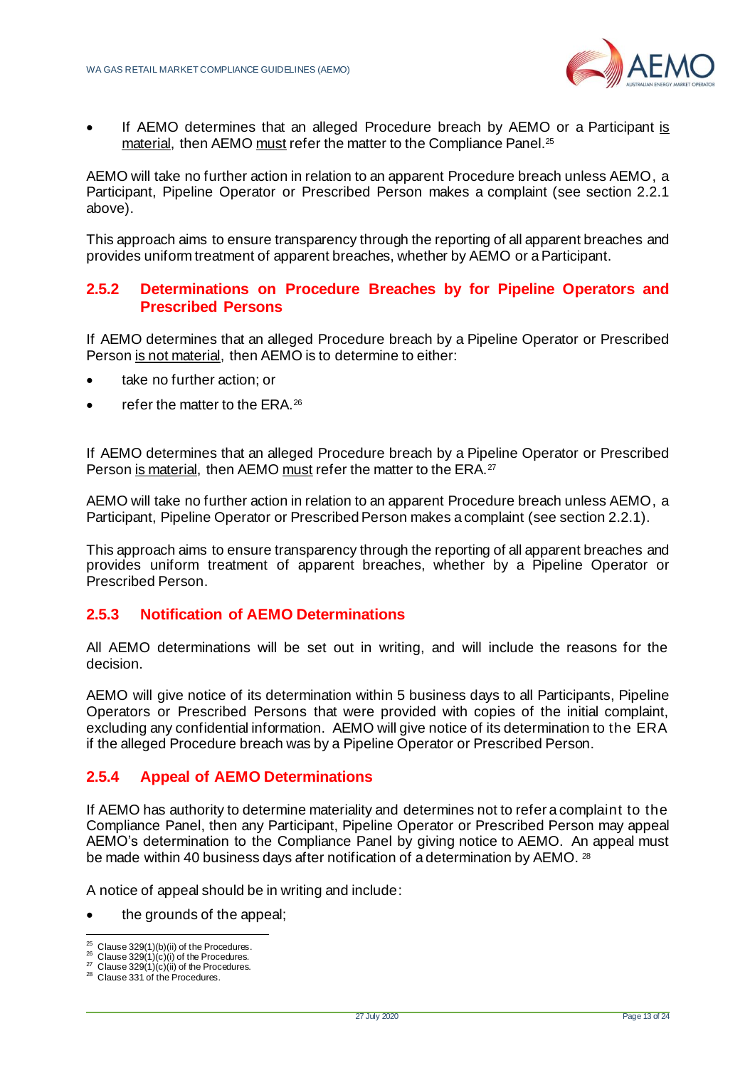

• If AEMO determines that an alleged Procedure breach by AEMO or a Participant is material, then AEMO must refer the matter to the Compliance Panel.25

AEMO will take no further action in relation to an apparent Procedure breach unless AEMO, a Participant, Pipeline Operator or Prescribed Person makes a complaint (see section [2.2.1](#page-8-0) above).

This approach aims to ensure transparency through the reporting of all apparent breaches and provides uniform treatment of apparent breaches, whether by AEMO or a Participant.

#### <span id="page-14-0"></span>**2.5.2 Determinations on Procedure Breaches by for Pipeline Operators and Prescribed Persons**

If AEMO determines that an alleged Procedure breach by a Pipeline Operator or Prescribed Person is not material, then AEMO is to determine to either:

- take no further action; or
- refer the matter to the ERA.<sup>26</sup>

If AEMO determines that an alleged Procedure breach by a Pipeline Operator or Prescribed Person is material, then AEMO must refer the matter to the ERA.<sup>27</sup>

AEMO will take no further action in relation to an apparent Procedure breach unless AEMO, a Participant, Pipeline Operator or Prescribed Person makes a complaint (see sectio[n 2.2.1](#page-8-0)).

This approach aims to ensure transparency through the reporting of all apparent breaches and provides uniform treatment of apparent breaches, whether by a Pipeline Operator or Prescribed Person.

#### <span id="page-14-1"></span>**2.5.3 Notification of AEMO Determinations**

All AEMO determinations will be set out in writing, and will include the reasons for the decision.

AEMO will give notice of its determination within 5 business days to all Participants, Pipeline Operators or Prescribed Persons that were provided with copies of the initial complaint, excluding any confidential information. AEMO will give notice of its determination to the ERA if the alleged Procedure breach was by a Pipeline Operator or Prescribed Person.

#### <span id="page-14-2"></span>**2.5.4 Appeal of AEMO Determinations**

If AEMO has authority to determine materiality and determines not to refer a complaint to the Compliance Panel, then any Participant, Pipeline Operator or Prescribed Person may appeal AEMO's determination to the Compliance Panel by giving notice to AEMO. An appeal must be made within 40 business days after notification of a determination by AEMO. <sup>28</sup>

A notice of appeal should be in writing and include:

• the grounds of the appeal;

 $25$  Clause 329(1)(b)(ii) of the Procedures.

Clause  $329(1)(c)(i)$  of the Procedures.  $27$  Clause 329(1)(c)(ii) of the Procedures.

<sup>28</sup> Clause 331 of the Procedures.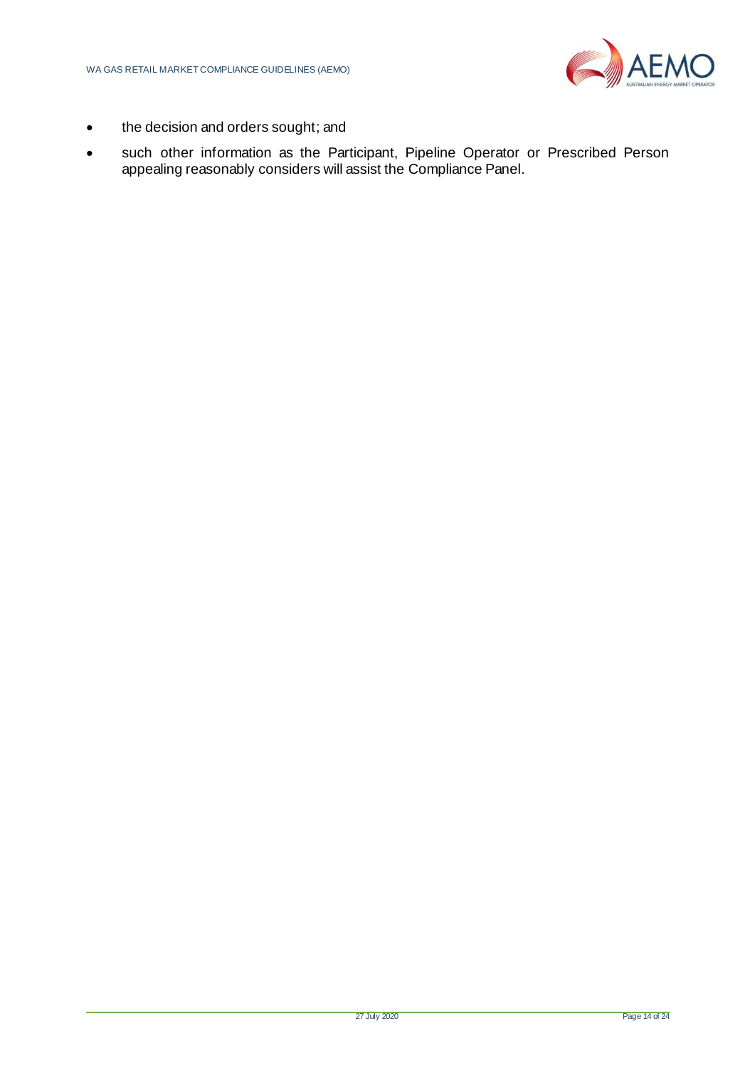

- the decision and orders sought; and
- such other information as the Participant, Pipeline Operator or Prescribed Person appealing reasonably considers will assist the Compliance Panel.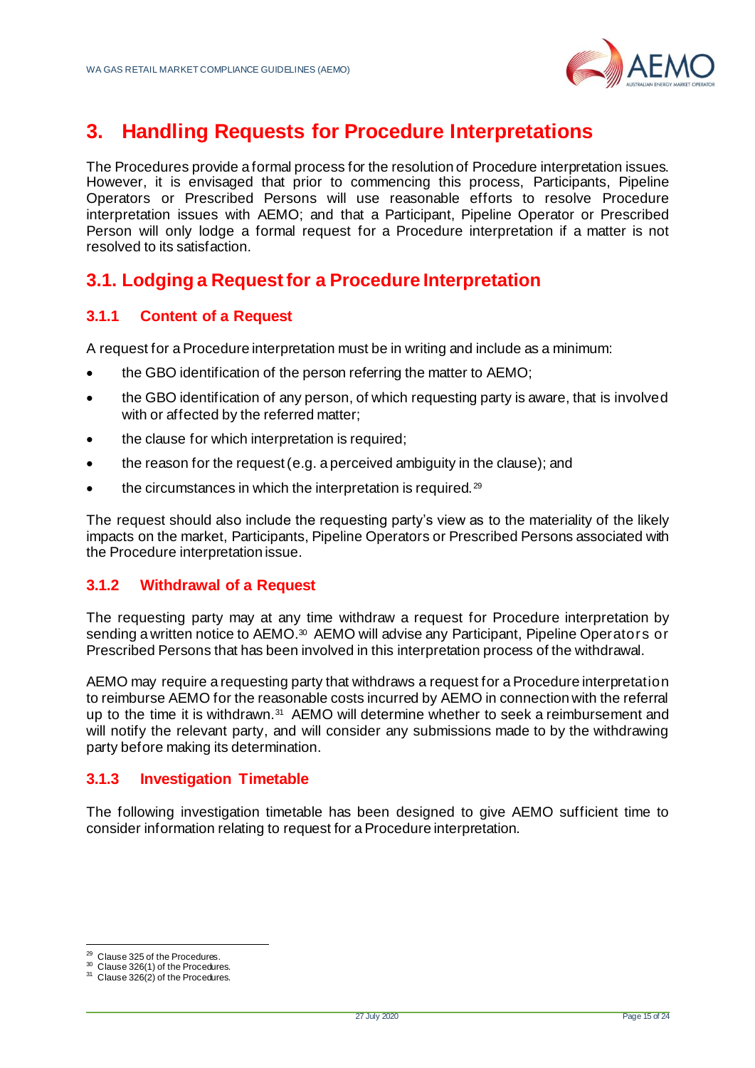

# <span id="page-16-0"></span>**3. Handling Requests for Procedure Interpretations**

The Procedures provide a formal process for the resolution of Procedure interpretation issues. However, it is envisaged that prior to commencing this process, Participants, Pipeline Operators or Prescribed Persons will use reasonable efforts to resolve Procedure interpretation issues with AEMO; and that a Participant, Pipeline Operator or Prescribed Person will only lodge a formal request for a Procedure interpretation if a matter is not resolved to its satisfaction.

# <span id="page-16-1"></span>**3.1. Lodging a Request for a Procedure Interpretation**

### <span id="page-16-2"></span>**3.1.1 Content of a Request**

A request for a Procedure interpretation must be in writing and include as a minimum:

- the GBO identification of the person referring the matter to AEMO;
- the GBO identification of any person, of which requesting party is aware, that is involved with or affected by the referred matter;
- the clause for which interpretation is required:
- the reason for the request (e.g. a perceived ambiguity in the clause); and
- the circumstances in which the interpretation is required.<sup>29</sup>

The request should also include the requesting party's view as to the materiality of the likely impacts on the market, Participants, Pipeline Operators or Prescribed Persons associated with the Procedure interpretation issue.

#### <span id="page-16-3"></span>**3.1.2 Withdrawal of a Request**

The requesting party may at any time withdraw a request for Procedure interpretation by sending a written notice to AEMO.<sup>30</sup> AEMO will advise any Participant, Pipeline Operators or Prescribed Persons that has been involved in this interpretation process of the withdrawal.

AEMO may require a requesting party that withdraws a request for a Procedure interpretation to reimburse AEMO for the reasonable costs incurred by AEMO in connection with the referral up to the time it is withdrawn.<sup>31</sup> AEMO will determine whether to seek a reimbursement and will notify the relevant party, and will consider any submissions made to by the withdrawing party before making its determination.

#### <span id="page-16-4"></span>**3.1.3 Investigation Timetable**

The following investigation timetable has been designed to give AEMO sufficient time to consider information relating to request for a Procedure interpretation.

<sup>&</sup>lt;sup>29</sup> Clause 325 of the Procedures.

<sup>&</sup>lt;sup>30</sup> Clause 326(1) of the Procedures.

 $31$  Clause  $326(2)$  of the Procedures.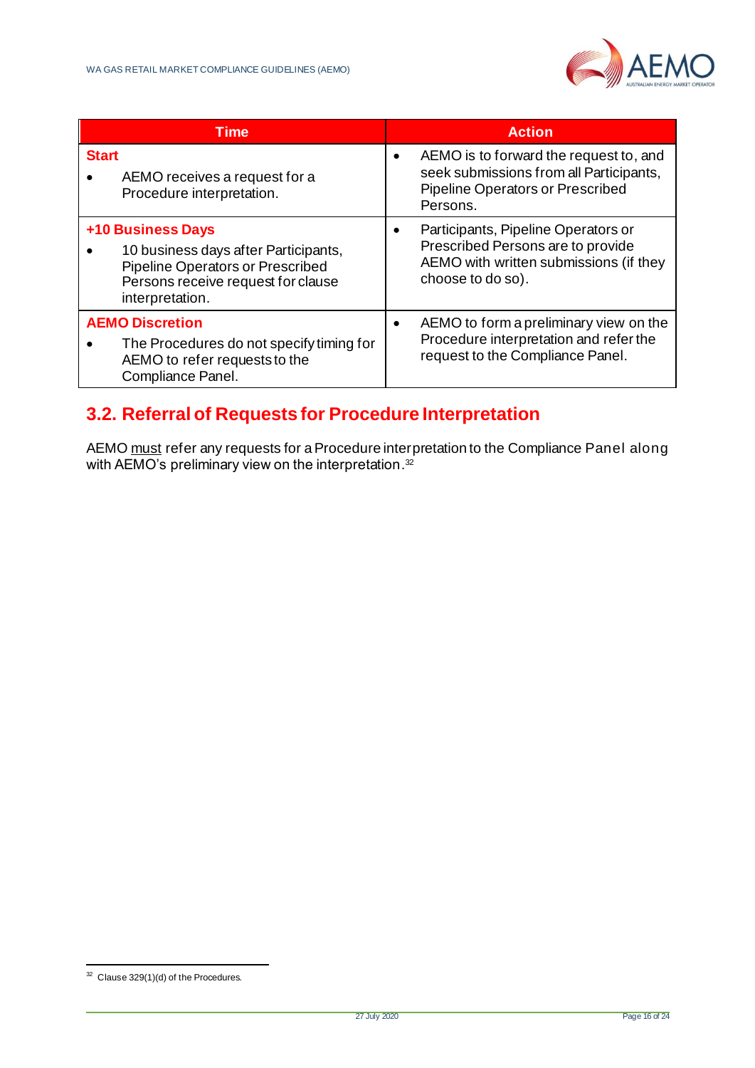

| Time                                                                                                                                                          | <b>Action</b>                                                                                                                           |
|---------------------------------------------------------------------------------------------------------------------------------------------------------------|-----------------------------------------------------------------------------------------------------------------------------------------|
| <b>Start</b><br>AEMO receives a request for a<br>Procedure interpretation.                                                                                    | AEMO is to forward the request to, and<br>seek submissions from all Participants,<br>Pipeline Operators or Prescribed<br>Persons.       |
| <b>+10 Business Days</b><br>10 business days after Participants,<br>Pipeline Operators or Prescribed<br>Persons receive request for clause<br>interpretation. | Participants, Pipeline Operators or<br>Prescribed Persons are to provide<br>AEMO with written submissions (if they<br>choose to do so). |
| <b>AEMO Discretion</b><br>The Procedures do not specify timing for<br>AEMO to refer requests to the<br>Compliance Panel.                                      | AEMO to form a preliminary view on the<br>Procedure interpretation and refer the<br>request to the Compliance Panel.                    |

# <span id="page-17-0"></span>**3.2. Referral of Requests for Procedure Interpretation**

AEMO must refer any requests for a Procedure interpretation to the Compliance Panel along with AEMO's preliminary view on the interpretation. $^{\rm 32}$ 

<sup>32</sup> Clause 329(1)(d) of the Procedures.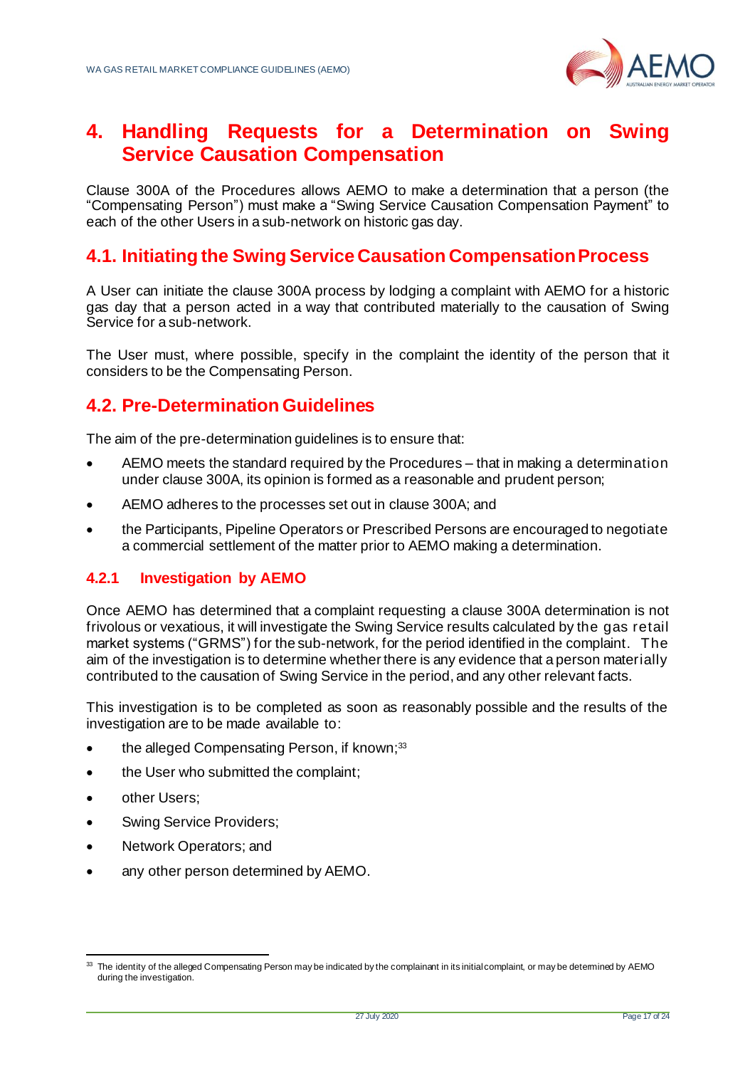

# <span id="page-18-0"></span>**4. Handling Requests for a Determination on Swing Service Causation Compensation**

Clause 300A of the Procedures allows AEMO to make a determination that a person (the "Compensating Person") must make a "Swing Service Causation Compensation Payment" to each of the other Users in a sub-network on historic gas day.

# <span id="page-18-1"></span>**4.1. Initiating the Swing Service Causation Compensation Process**

A User can initiate the clause 300A process by lodging a complaint with AEMO for a historic gas day that a person acted in a way that contributed materially to the causation of Swing Service for a sub-network.

The User must, where possible, specify in the complaint the identity of the person that it considers to be the Compensating Person.

# <span id="page-18-2"></span>**4.2. Pre-Determination Guidelines**

The aim of the pre-determination guidelines is to ensure that:

- AEMO meets the standard required by the Procedures that in making a determination under clause 300A, its opinion is formed as a reasonable and prudent person;
- AEMO adheres to the processes set out in clause 300A; and
- the Participants, Pipeline Operators or Prescribed Persons are encouraged to negotiate a commercial settlement of the matter prior to AEMO making a determination.

#### <span id="page-18-3"></span>**4.2.1 Investigation by AEMO**

Once AEMO has determined that a complaint requesting a clause 300A determination is not frivolous or vexatious, it will investigate the Swing Service results calculated by the gas retail market systems ("GRMS") for the sub-network, for the period identified in the complaint. The aim of the investigation is to determine whether there is any evidence that a person materially contributed to the causation of Swing Service in the period, and any other relevant facts.

This investigation is to be completed as soon as reasonably possible and the results of the investigation are to be made available to:

- the alleged Compensating Person, if known;<sup>33</sup>
- the User who submitted the complaint:
- other Users:
- Swing Service Providers;
- Network Operators; and
- any other person determined by AEMO.

<sup>&</sup>lt;sup>33</sup> The identity of the alleged Compensating Person may be indicated by the complainant in its initial complaint, or may be detemined by AEMO during the investigation.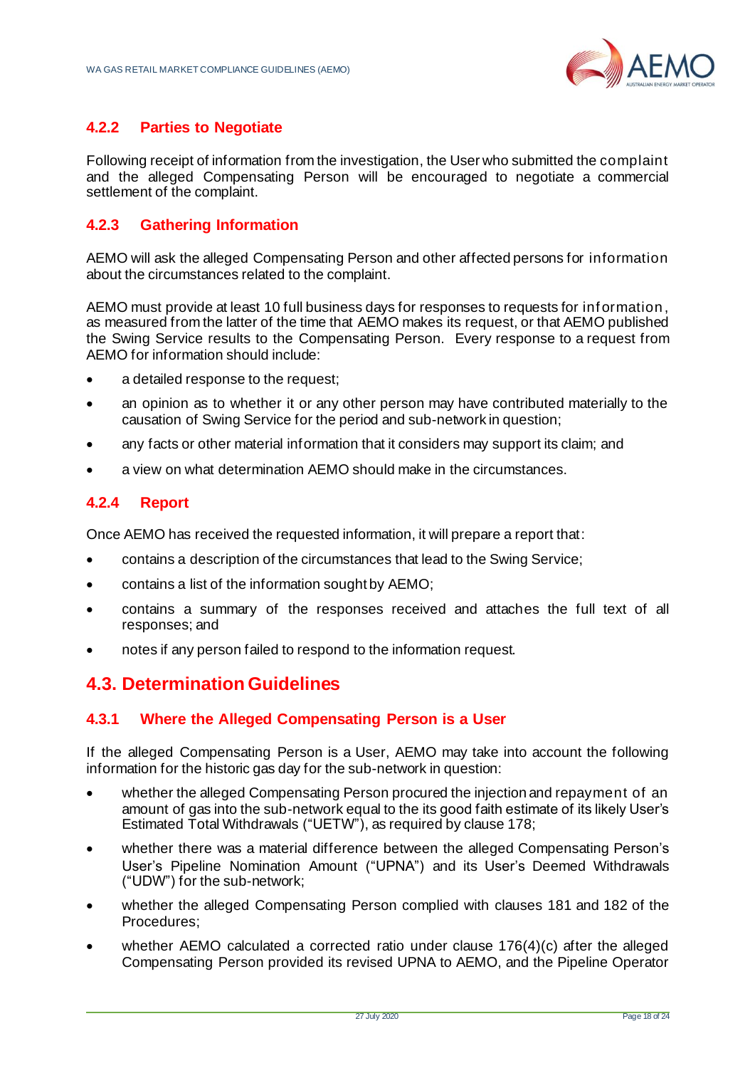

### **4.2.2 Parties to Negotiate**

Following receipt of information from the investigation, the User who submitted the complaint and the alleged Compensating Person will be encouraged to negotiate a commercial settlement of the complaint.

### <span id="page-19-0"></span>**4.2.3 Gathering Information**

AEMO will ask the alleged Compensating Person and other affected persons for information about the circumstances related to the complaint.

AEMO must provide at least 10 full business days for responses to requests for inf ormation, as measured from the latter of the time that AEMO makes its request, or that AEMO published the Swing Service results to the Compensating Person. Every response to a request from AEMO for information should include:

- a detailed response to the request;
- an opinion as to whether it or any other person may have contributed materially to the causation of Swing Service for the period and sub-network in question;
- any facts or other material information that it considers may support its claim; and
- a view on what determination AEMO should make in the circumstances.

#### <span id="page-19-1"></span>**4.2.4 Report**

Once AEMO has received the requested information, it will prepare a report that:

- contains a description of the circumstances that lead to the Swing Service;
- contains a list of the information sought by AEMO;
- contains a summary of the responses received and attaches the full text of all responses; and
- notes if any person failed to respond to the information request.

# <span id="page-19-2"></span>**4.3. Determination Guidelines**

#### <span id="page-19-3"></span>**4.3.1 Where the Alleged Compensating Person is a User**

If the alleged Compensating Person is a User, AEMO may take into account the following information for the historic gas day for the sub-network in question:

- whether the alleged Compensating Person procured the injection and repayment of an amount of gas into the sub-network equal to the its good faith estimate of its likely User's Estimated Total Withdrawals ("UETW"), as required by clause 178;
- whether there was a material difference between the alleged Compensating Person's User's Pipeline Nomination Amount ("UPNA") and its User's Deemed Withdrawals ("UDW") for the sub-network;
- whether the alleged Compensating Person complied with clauses 181 and 182 of the Procedures;
- whether AEMO calculated a corrected ratio under clause  $176(4)(c)$  after the alleged Compensating Person provided its revised UPNA to AEMO, and the Pipeline Operator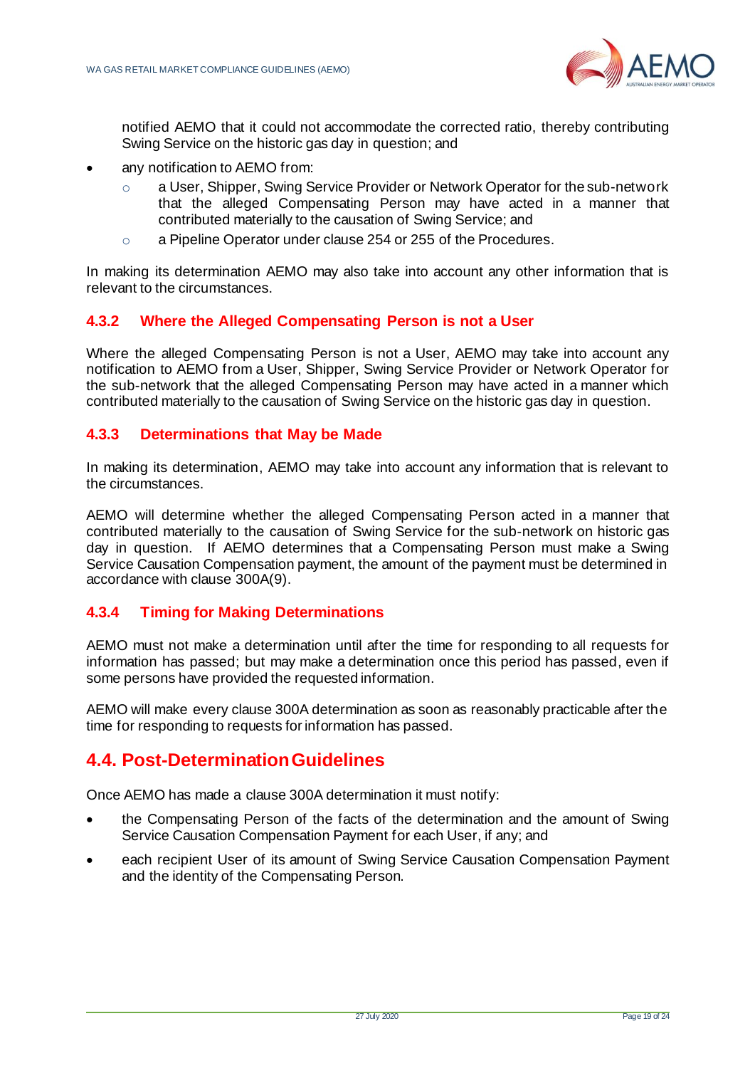

notified AEMO that it could not accommodate the corrected ratio, thereby contributing Swing Service on the historic gas day in question; and

- any notification to AEMO from:
	- o a User, Shipper, Swing Service Provider or Network Operator for the sub-network that the alleged Compensating Person may have acted in a manner that contributed materially to the causation of Swing Service; and
	- o a Pipeline Operator under clause 254 or 255 of the Procedures.

In making its determination AEMO may also take into account any other information that is relevant to the circumstances.

#### <span id="page-20-0"></span>**4.3.2 Where the Alleged Compensating Person is not a User**

Where the alleged Compensating Person is not a User, AEMO may take into account any notification to AEMO from a User, Shipper, Swing Service Provider or Network Operator for the sub-network that the alleged Compensating Person may have acted in a manner which contributed materially to the causation of Swing Service on the historic gas day in question.

#### <span id="page-20-1"></span>**4.3.3 Determinations that May be Made**

In making its determination, AEMO may take into account any information that is relevant to the circumstances.

AEMO will determine whether the alleged Compensating Person acted in a manner that contributed materially to the causation of Swing Service for the sub-network on historic gas day in question. If AEMO determines that a Compensating Person must make a Swing Service Causation Compensation payment, the amount of the payment must be determined in accordance with clause 300A(9).

#### <span id="page-20-2"></span>**4.3.4 Timing for Making Determinations**

AEMO must not make a determination until after the time for responding to all requests for information has passed; but may make a determination once this period has passed, even if some persons have provided the requested information.

AEMO will make every clause 300A determination as soon as reasonably practicable after the time for responding to requests for information has passed.

### <span id="page-20-3"></span>**4.4. Post-Determination Guidelines**

Once AEMO has made a clause 300A determination it must notify:

- the Compensating Person of the facts of the determination and the amount of Swing Service Causation Compensation Payment for each User, if any; and
- each recipient User of its amount of Swing Service Causation Compensation Payment and the identity of the Compensating Person.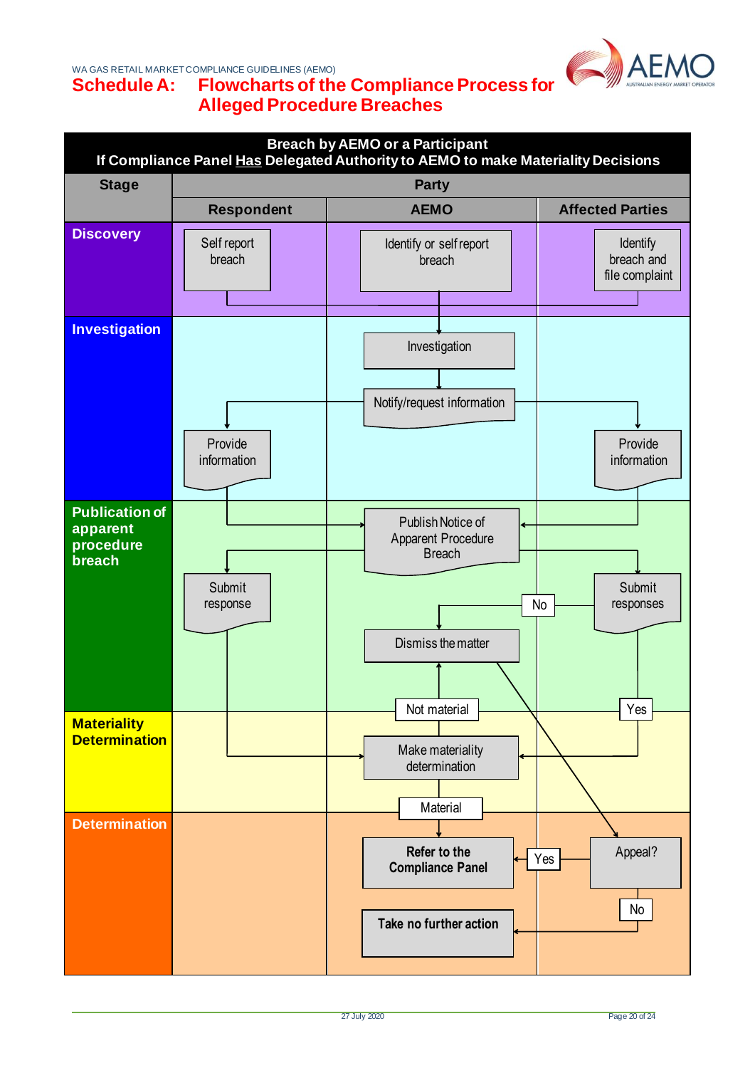WA GAS RETAIL MARKET COMPLIANCE GUIDELINES (AEMO)



### <span id="page-21-0"></span>**Schedule A: Flowcharts of the Compliance Process for Alleged Procedure Breaches**

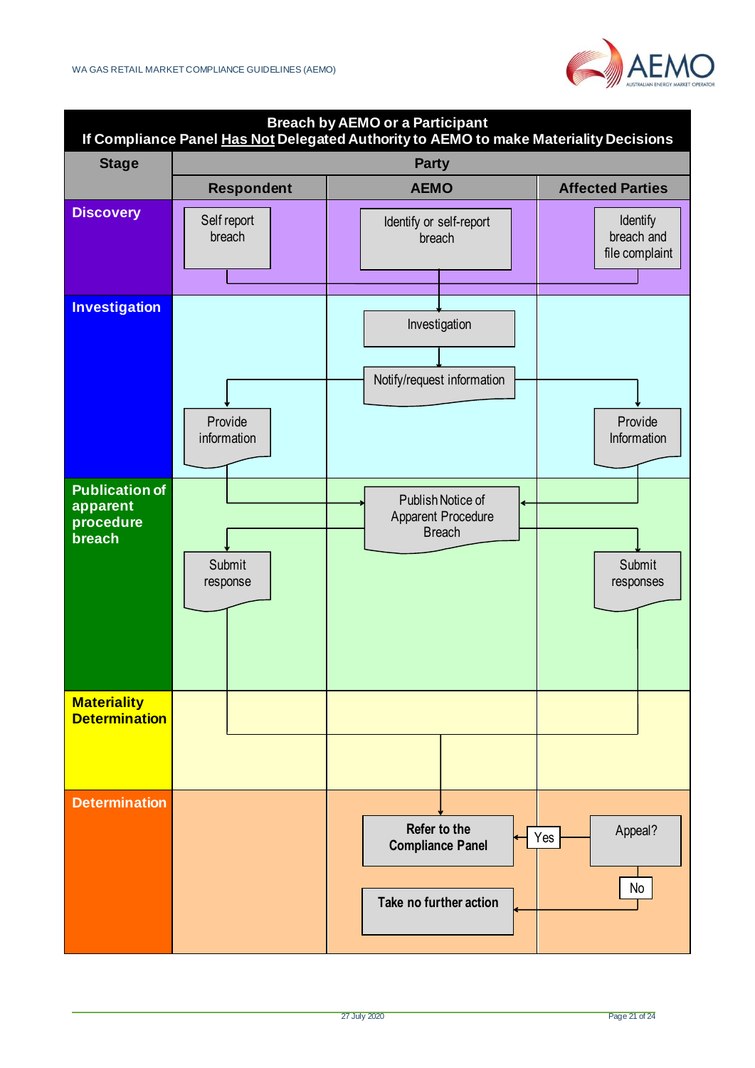